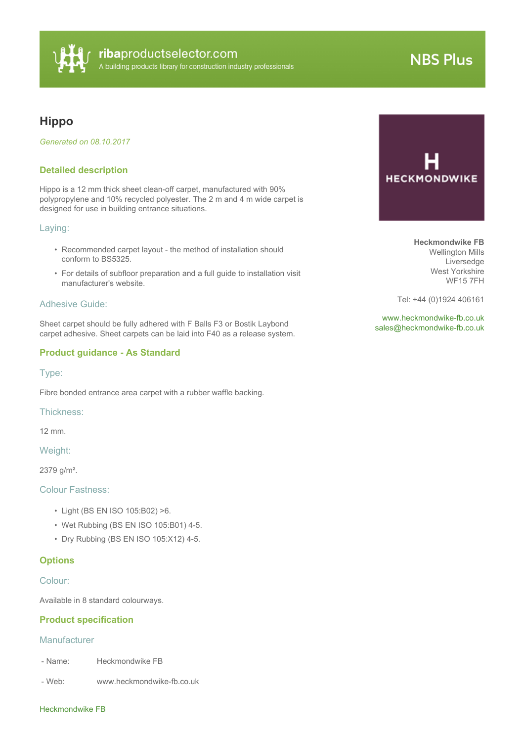

# **NBS Plus**

# **Hippo**

*Generated on 08.10.2017*

# **Detailed description**

Hippo is a 12 mm thick sheet clean-off carpet, manufactured with 90% polypropylene and 10% recycled polyester. The 2 m and 4 m wide carpet is designed for use in building entrance situations.

# Laying:

- Recommended carpet layout the method of installation should conform to BS5325.
- For details of subfloor preparation and a full guide to installation visit manufacturer's website.

#### Adhesive Guide:

Sheet carpet should be fully adhered with F Balls F3 or Bostik Laybond carpet adhesive. Sheet carpets can be laid into F40 as a release system.

# **Product guidance - As Standard**

Type:

Fibre bonded entrance area carpet with a rubber waffle backing.

Thickness:

12 mm.

Weight:

2379 g/m².

#### Colour Fastness:

- Light (BS EN ISO 105:B02) >6.
- Wet Rubbing (BS EN ISO 105:B01) 4-5.
- Dry Rubbing (BS EN ISO 105:X12) 4-5.

# **Options**

#### Colour:

Available in 8 standard colourways.

# **Product specification**

#### Manufacturer

- Name: Heckmondwike FB
- Web: www.heckmondwike-fb.co.uk



**Heckmondwike FB** Wellington Mills Liversedge West Yorkshire WF15 7FH

Tel: +44 (0)1924 406161

<www.heckmondwike-fb.co.uk> [sales@heckmondwike-fb.co.uk](mailto:sales@heckmondwike-fb.co.uk?subject=Hippo)

#### Heckmondwike FB